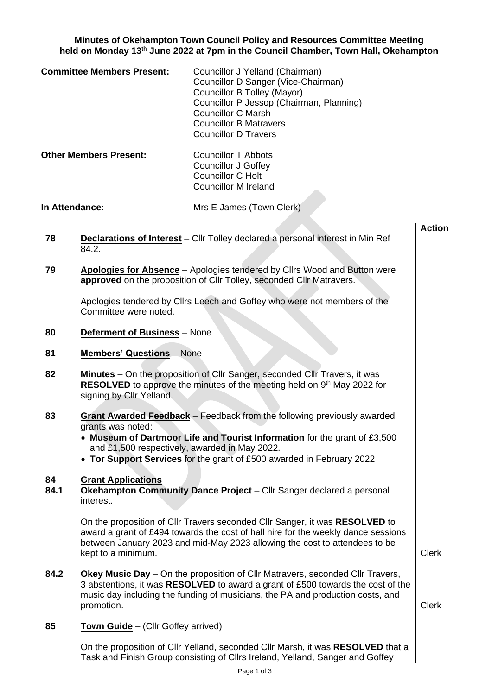**Minutes of Okehampton Town Council Policy and Resources Committee Meeting held on Monday 13th June 2022 at 7pm in the Council Chamber, Town Hall, Okehampton**

| <b>Committee Members Present:</b> | Councillor J Yelland (Chairman)<br>Councillor D Sanger (Vice-Chairman)<br>Councillor B Tolley (Mayor)<br>Councillor P Jessop (Chairman, Planning)<br><b>Councillor C Marsh</b><br><b>Councillor B Matravers</b><br><b>Councillor D Travers</b> |
|-----------------------------------|------------------------------------------------------------------------------------------------------------------------------------------------------------------------------------------------------------------------------------------------|
|                                   |                                                                                                                                                                                                                                                |

**Other Members Present:** Councillor T Abbots Councillor J Goffey Councillor C Holt Councillor M Ireland

**In Attendance:** Mrs E James (Town Clerk)

- **78 Declarations of Interest** Cllr Tolley declared a personal interest in Min Ref 84.2.
- **79 Apologies for Absence** Apologies tendered by Cllrs Wood and Button were **approved** on the proposition of Cllr Tolley, seconded Cllr Matravers.

Apologies tendered by Cllrs Leech and Goffey who were not members of the Committee were noted.

- **80 Deferment of Business** None
- **81 Members' Questions** None
- **82 Minutes** On the proposition of Cllr Sanger, seconded Cllr Travers, it was **RESOLVED** to approve the minutes of the meeting held on 9<sup>th</sup> May 2022 for signing by Cllr Yelland.
- **83 Grant Awarded Feedback** Feedback from the following previously awarded grants was noted:
	- **Museum of Dartmoor Life and Tourist Information** for the grant of £3,500 and £1,500 respectively, awarded in May 2022.
	- **Tor Support Services** for the grant of £500 awarded in February 2022

## **84 Grant Applications**

**84.1 Okehampton Community Dance Project** – Cllr Sanger declared a personal interest.

> On the proposition of Cllr Travers seconded Cllr Sanger, it was **RESOLVED** to award a grant of £494 towards the cost of hall hire for the weekly dance sessions between January 2023 and mid-May 2023 allowing the cost to attendees to be kept to a minimum. Clerk and the state of the state of the state of the state of the state of the state of the state of the state of the state of the state of the state of the state of the state of the state of the state o

**84.2 Okey Music Day** – On the proposition of Cllr Matravers, seconded Cllr Travers, 3 abstentions, it was **RESOLVED** to award a grant of £500 towards the cost of the music day including the funding of musicians, the PA and production costs, and promotion. **Clerk** 

**Action**

**85 Town Guide** – (Cllr Goffey arrived)

On the proposition of Cllr Yelland, seconded Cllr Marsh, it was **RESOLVED** that a Task and Finish Group consisting of Cllrs Ireland, Yelland, Sanger and Goffey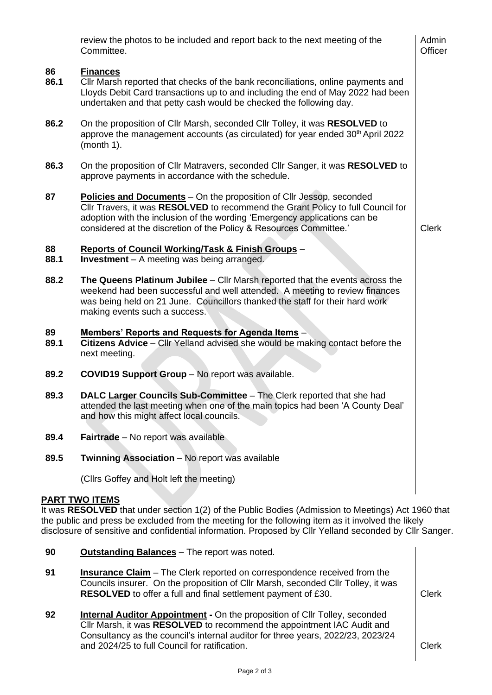|                                                                                                                                                                                                                                                                                                                                              | review the photos to be included and report back to the next meeting of the<br>Committee.                                                                                                                                                                                                                  | Admin<br>Officer |
|----------------------------------------------------------------------------------------------------------------------------------------------------------------------------------------------------------------------------------------------------------------------------------------------------------------------------------------------|------------------------------------------------------------------------------------------------------------------------------------------------------------------------------------------------------------------------------------------------------------------------------------------------------------|------------------|
| 86<br>86.1                                                                                                                                                                                                                                                                                                                                   | <b>Finances</b><br>CIIr Marsh reported that checks of the bank reconciliations, online payments and<br>Lloyds Debit Card transactions up to and including the end of May 2022 had been<br>undertaken and that petty cash would be checked the following day.                                               |                  |
| 86.2                                                                                                                                                                                                                                                                                                                                         | On the proposition of Cllr Marsh, seconded Cllr Tolley, it was RESOLVED to<br>approve the management accounts (as circulated) for year ended 30 <sup>th</sup> April 2022<br>(month 1).                                                                                                                     |                  |
| 86.3                                                                                                                                                                                                                                                                                                                                         | On the proposition of Cllr Matravers, seconded Cllr Sanger, it was RESOLVED to<br>approve payments in accordance with the schedule.                                                                                                                                                                        |                  |
| 87                                                                                                                                                                                                                                                                                                                                           | Policies and Documents - On the proposition of Cllr Jessop, seconded<br>Cllr Travers, it was RESOLVED to recommend the Grant Policy to full Council for<br>adoption with the inclusion of the wording 'Emergency applications can be<br>considered at the discretion of the Policy & Resources Committee.' | <b>Clerk</b>     |
| 88<br>88.1                                                                                                                                                                                                                                                                                                                                   | <b>Reports of Council Working/Task &amp; Finish Groups -</b><br><b>Investment</b> - A meeting was being arranged.                                                                                                                                                                                          |                  |
| 88.2                                                                                                                                                                                                                                                                                                                                         | The Queens Platinum Jubilee – Cllr Marsh reported that the events across the<br>weekend had been successful and well attended. A meeting to review finances<br>was being held on 21 June. Councillors thanked the staff for their hard work<br>making events such a success.                               |                  |
| 89<br>89.1                                                                                                                                                                                                                                                                                                                                   | Members' Reports and Requests for Agenda Items -<br>Citizens Advice - Cllr Yelland advised she would be making contact before the<br>next meeting.                                                                                                                                                         |                  |
| 89.2                                                                                                                                                                                                                                                                                                                                         | <b>COVID19 Support Group - No report was available.</b>                                                                                                                                                                                                                                                    |                  |
| 89.3                                                                                                                                                                                                                                                                                                                                         | DALC Larger Councils Sub-Committee - The Clerk reported that she had<br>attended the last meeting when one of the main topics had been 'A County Deal'<br>and how this might affect local councils.                                                                                                        |                  |
| 89.4                                                                                                                                                                                                                                                                                                                                         | <b>Fairtrade</b> – No report was available                                                                                                                                                                                                                                                                 |                  |
| 89.5                                                                                                                                                                                                                                                                                                                                         | <b>Twinning Association - No report was available</b>                                                                                                                                                                                                                                                      |                  |
|                                                                                                                                                                                                                                                                                                                                              | (Cllrs Goffey and Holt left the meeting)                                                                                                                                                                                                                                                                   |                  |
| <b>PART TWO ITEMS</b><br>It was RESOLVED that under section 1(2) of the Public Bodies (Admission to Meetings) Act 1960 that<br>the public and press be excluded from the meeting for the following item as it involved the likely<br>disclosure of sensitive and confidential information. Proposed by Cllr Yelland seconded by Cllr Sanger. |                                                                                                                                                                                                                                                                                                            |                  |
| 90                                                                                                                                                                                                                                                                                                                                           | <b>Outstanding Balances</b> - The report was noted.                                                                                                                                                                                                                                                        |                  |

- **91 Insurance Claim** The Clerk reported on correspondence received from the Councils insurer. On the proposition of Cllr Marsh, seconded Cllr Tolley, it was **RESOLVED** to offer a full and final settlement payment of £30. Clerk
- **92 Internal Auditor Appointment -** On the proposition of Cllr Tolley, seconded Cllr Marsh, it was **RESOLVED** to recommend the appointment IAC Audit and Consultancy as the council's internal auditor for three years, 2022/23, 2023/24 and 2024/25 to full Council for ratification.